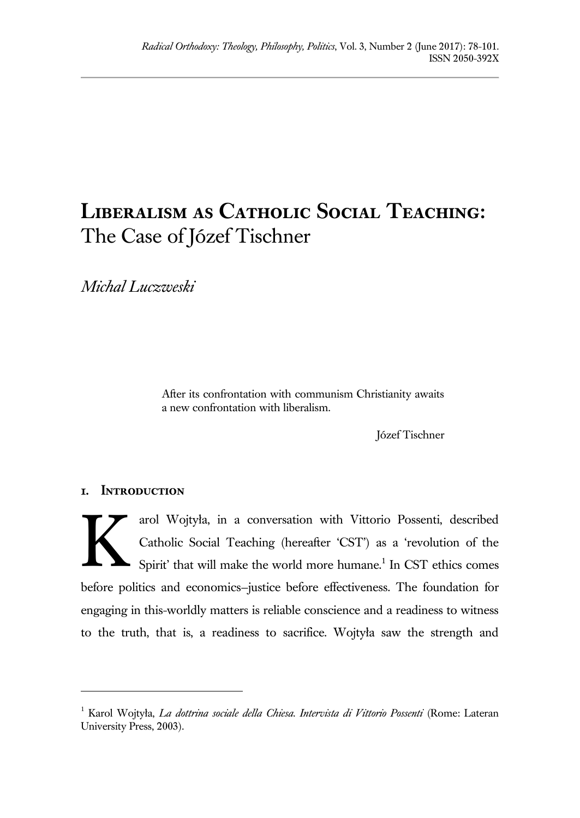# **Liberalism as Catholic Social Teaching:** The Case of Józef Tischner

*Michal Luczweski*

After its confrontation with communism Christianity awaits a new confrontation with liberalism.

Józef Tischner

## **1. Introduction**

 $\overline{a}$ 

arol Wojtyła, in a conversation with Vittorio Possenti, described Catholic Social Teaching (hereafter 'CST') as a 'revolution of the Spirit' that will make the world more humane.<sup>1</sup> In CST ethics comes before politics and economics—justice before effectiveness. The foundation for engaging in this-worldly matters is reliable conscience and a readiness to witness to the truth, that is, a readiness to sacrifice. Wojtyła saw the strength and K

<sup>1</sup> Karol Wojtyła, *La dottrina sociale della Chiesa. Intervista di Vittorio Possenti* (Rome: Lateran University Press, 2003).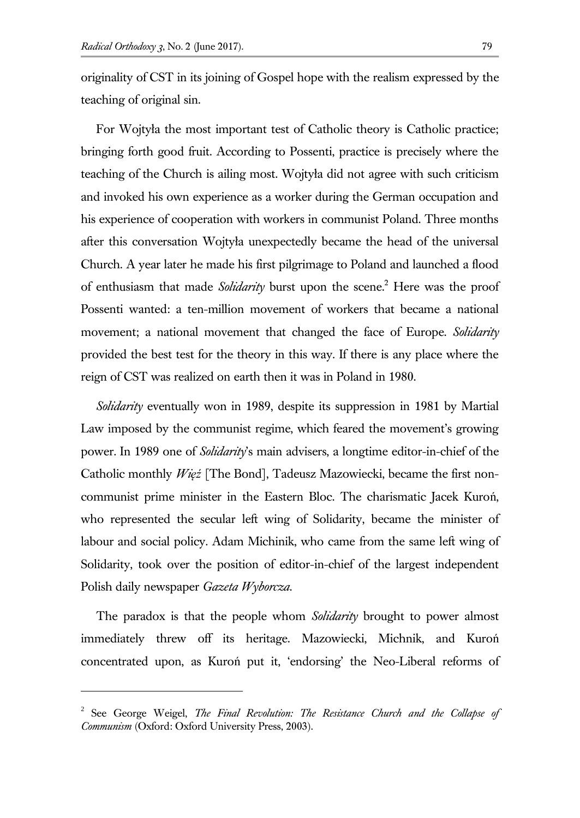$\overline{a}$ 

originality of CST in its joining of Gospel hope with the realism expressed by the teaching of original sin.

For Wojtyła the most important test of Catholic theory is Catholic practice; bringing forth good fruit. According to Possenti, practice is precisely where the teaching of the Church is ailing most. Wojtyła did not agree with such criticism and invoked his own experience as a worker during the German occupation and his experience of cooperation with workers in communist Poland. Three months after this conversation Wojtyła unexpectedly became the head of the universal Church. A year later he made his first pilgrimage to Poland and launched a flood of enthusiasm that made *Solidarity* burst upon the scene.<sup>2</sup> Here was the proof Possenti wanted: a ten-million movement of workers that became a national movement; a national movement that changed the face of Europe. *Solidarity* provided the best test for the theory in this way. If there is any place where the reign of CST was realized on earth then it was in Poland in 1980.

*Solidarity* eventually won in 1989, despite its suppression in 1981 by Martial Law imposed by the communist regime, which feared the movement's growing power. In 1989 one of *Solidarity*'s main advisers, a longtime editor-in-chief of the Catholic monthly *Więź* [The Bond], Tadeusz Mazowiecki, became the first noncommunist prime minister in the Eastern Bloc. The charismatic Jacek Kuroń, who represented the secular left wing of Solidarity, became the minister of labour and social policy. Adam Michinik, who came from the same left wing of Solidarity, took over the position of editor-in-chief of the largest independent Polish daily newspaper *Gazeta Wyborcza*.

The paradox is that the people whom *Solidarity* brought to power almost immediately threw off its heritage. Mazowiecki, Michnik, and Kuroń concentrated upon, as Kuroń put it, 'endorsing' the Neo-Liberal reforms of

<sup>2</sup> See George Weigel, *The Final Revolution: The Resistance Church and the Collapse of Communism* (Oxford: Oxford University Press, 2003).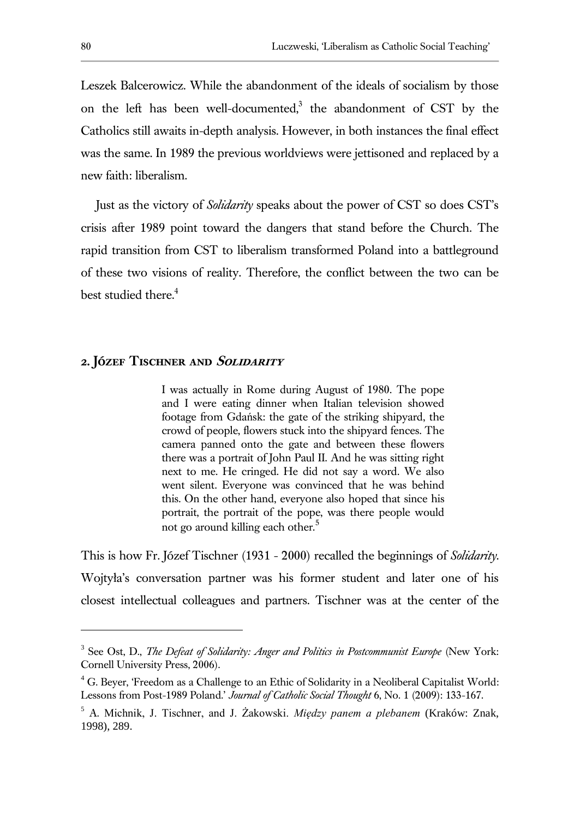Leszek Balcerowicz. While the abandonment of the ideals of socialism by those on the left has been well-documented,<sup>3</sup> the abandonment of CST by the Catholics still awaits in-depth analysis. However, in both instances the final effect was the same. In 1989 the previous worldviews were jettisoned and replaced by a new faith: liberalism.

Just as the victory of *Solidarity* speaks about the power of CST so does CST's crisis after 1989 point toward the dangers that stand before the Church. The rapid transition from CST to liberalism transformed Poland into a battleground of these two visions of reality. Therefore, the conflict between the two can be best studied there.<sup>4</sup>

# **2. Józef Tischner and Solidarity**

I was actually in Rome during August of 1980. The pope and I were eating dinner when Italian television showed footage from Gdańsk: the gate of the striking shipyard, the crowd of people, flowers stuck into the shipyard fences. The camera panned onto the gate and between these flowers there was a portrait of John Paul II. And he was sitting right next to me. He cringed. He did not say a word. We also went silent. Everyone was convinced that he was behind this. On the other hand, everyone also hoped that since his portrait, the portrait of the pope, was there people would not go around killing each other.<sup>5</sup>

This is how Fr. Józef Tischner (1931 - 2000) recalled the beginnings of *Solidarity*. Wojtyła's conversation partner was his former student and later one of his closest intellectual colleagues and partners. Tischner was at the center of the

<sup>&</sup>lt;sup>3</sup> See Ost, D., *The Defeat of Solidarity: Anger and Politics in Postcommunist Europe* (New York: Cornell University Press, 2006).

<sup>&</sup>lt;sup>4</sup> G. Beyer, 'Freedom as a Challenge to an Ethic of Solidarity in a Neoliberal Capitalist World: Lessons from Post-1989 Poland.' *Journal of Catholic Social Thought* 6, No. 1 (2009): 133-167.

<sup>5</sup> A. Michnik, J. Tischner, and J. Żakowski. *Między panem a plebanem* (Kraków: Znak, 1998), 289.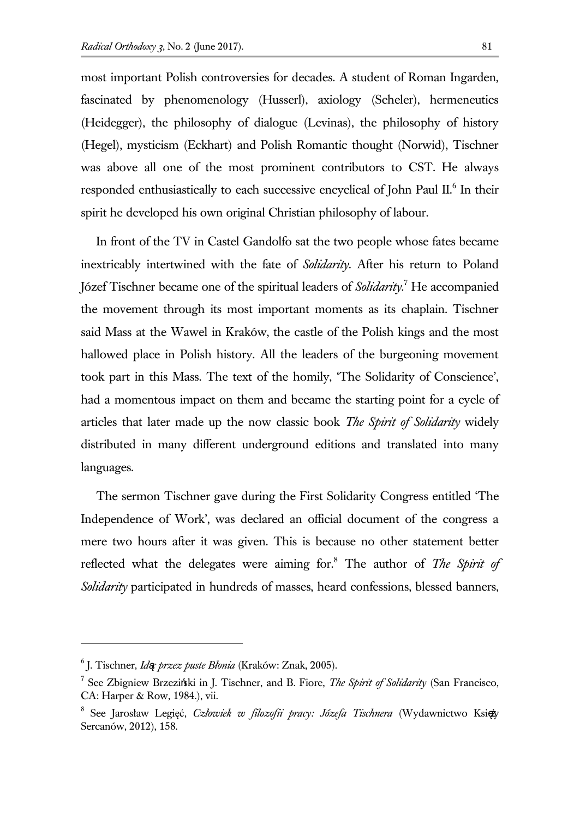most important Polish controversies for decades. A student of Roman Ingarden, fascinated by phenomenology (Husserl), axiology (Scheler), hermeneutics (Heidegger), the philosophy of dialogue (Levinas), the philosophy of history (Hegel), mysticism (Eckhart) and Polish Romantic thought (Norwid), Tischner was above all one of the most prominent contributors to CST. He always responded enthusiastically to each successive encyclical of John Paul II.<sup>6</sup> In their spirit he developed his own original Christian philosophy of labour.

In front of the TV in Castel Gandolfo sat the two people whose fates became inextricably intertwined with the fate of *Solidarity*. After his return to Poland Józef Tischner became one of the spiritual leaders of *Solidarity*. <sup>7</sup> He accompanied the movement through its most important moments as its chaplain. Tischner said Mass at the Wawel in Kraków, the castle of the Polish kings and the most hallowed place in Polish history. All the leaders of the burgeoning movement took part in this Mass. The text of the homily, 'The Solidarity of Conscience', had a momentous impact on them and became the starting point for a cycle of articles that later made up the now classic book *The Spirit of Solidarity* widely distributed in many different underground editions and translated into many languages.

The sermon Tischner gave during the First Solidarity Congress entitled 'The Independence of Work', was declared an official document of the congress a mere two hours after it was given. This is because no other statement better reflected what the delegates were aiming for.<sup>8</sup> The author of *The Spirit of Solidarity* participated in hundreds of masses, heard confessions, blessed banners,

<sup>6</sup> J. Tischner, *Idąc przez puste Błonia* (Kraków: Znak, 2005).

<sup>7</sup> See Zbigniew Brzeziński in J. Tischner, and B. Fiore, *The Spirit of Solidarity* (San Francisco, CA: Harper & Row, 1984.), vii.

<sup>&</sup>lt;sup>8</sup> See Jarosław Legięć, *Człowiek w filozofii pracy: Józefa Tischnera* (Wydawnictwo Ksi $\phi$ Sercanów, 2012), 158.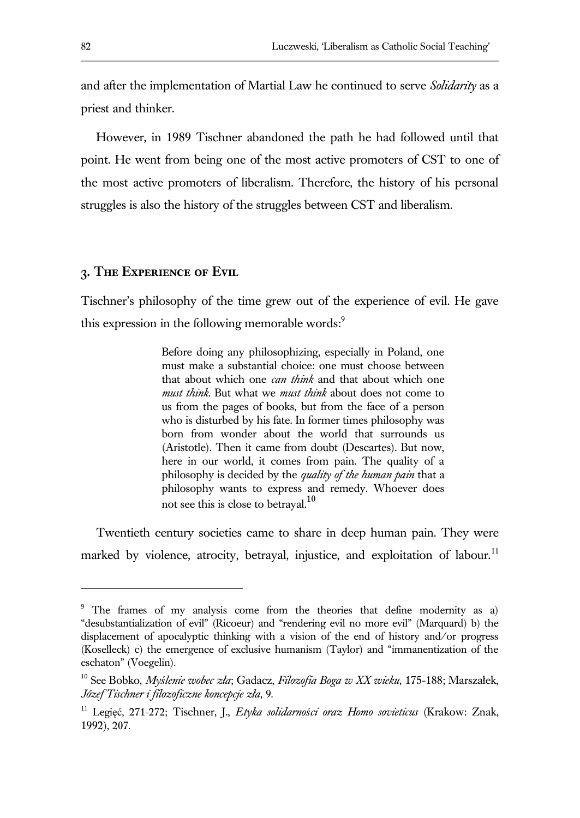and after the implementation of Martial Law he continued to serve *Solidarity* as a priest and thinker.

However, in 1989 Tischner abandoned the path he had followed until that point. He went from being one of the most active promoters of CST to one of the most active promoters of liberalism. Therefore, the history of his personal struggles is also the history of the struggles between CST and liberalism.

#### **3. The Experience of Evil**

Tischner's philosophy of the time grew out of the experience of evil. He gave this expression in the following memorable words:<sup>9</sup>

> Before doing any philosophizing, especially in Poland, one must make a substantial choice: one must choose between that about which one *can think* and that about which one *must think*. But what we *must think* about does not come to us from the pages of books, but from the face of a person who is disturbed by his fate. In former times philosophy was born from wonder about the world that surrounds us (Aristotle). Then it came from doubt (Descartes). But now, here in our world, it comes from pain. The quality of a philosophy is decided by the *quality of the human pain* that a philosophy wants to express and remedy. Whoever does not see this is close to betraval.<sup>10</sup>

Twentieth century societies came to share in deep human pain. They were marked by violence, atrocity, betrayal, injustice, and exploitation of labour.<sup>11</sup>

<sup>&</sup>lt;sup>9</sup> The frames of my analysis come from the theories that define modernity as a) "desubstantialization of evil" (Ricoeur) and "rendering evil no more evil" (Marquard) b) the displacement of apocalyptic thinking with a vision of the end of history and/or progress (Koselleck) c) the emergence of exclusive humanism (Taylor) and "immanentization of the eschaton" (Voegelin).

<sup>10</sup> See Bobko, *Myślenie wobec zła*; Gadacz, *Filozofia Boga w XX wieku*, 175-188; Marszałek, *Józef Tischner i filozoficzne koncepcje zła*, 9.

<sup>11</sup> Legięć, 271-272; Tischner, J., *Etyka solidarności oraz Homo sovieticus* (Krakow: Znak, 1992), 207.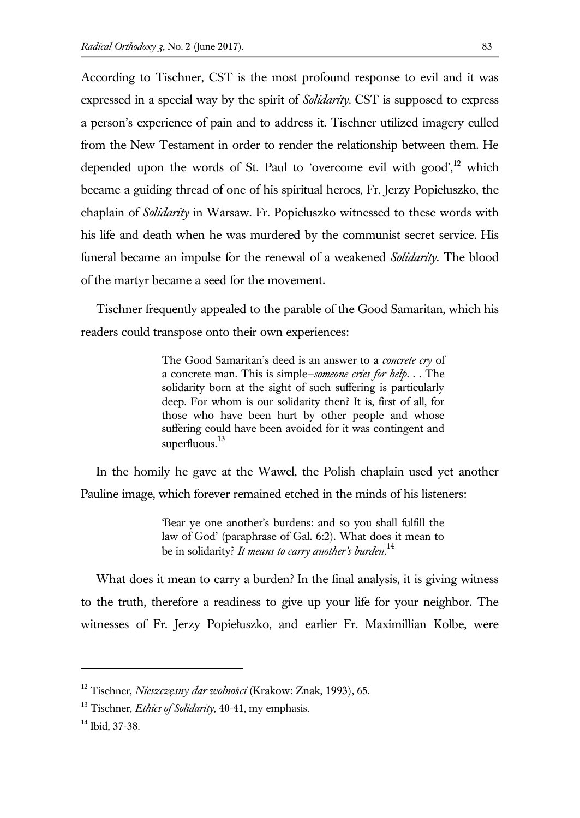According to Tischner, CST is the most profound response to evil and it was expressed in a special way by the spirit of *Solidarity*. CST is supposed to express a person's experience of pain and to address it. Tischner utilized imagery culled from the New Testament in order to render the relationship between them. He depended upon the words of St. Paul to 'overcome evil with good',<sup>12</sup> which became a guiding thread of one of his spiritual heroes, Fr. Jerzy Popiełuszko, the chaplain of *Solidarity* in Warsaw. Fr. Popiełuszko witnessed to these words with his life and death when he was murdered by the communist secret service. His funeral became an impulse for the renewal of a weakened *Solidarity*. The blood of the martyr became a seed for the movement.

Tischner frequently appealed to the parable of the Good Samaritan, which his readers could transpose onto their own experiences:

> The Good Samaritan's deed is an answer to a *concrete cry* of a concrete man. This is simple—*someone cries for help*. . . The solidarity born at the sight of such suffering is particularly deep. For whom is our solidarity then? It is, first of all, for those who have been hurt by other people and whose suffering could have been avoided for it was contingent and superfluous. $^{13}$

In the homily he gave at the Wawel, the Polish chaplain used yet another Pauline image, which forever remained etched in the minds of his listeners:

> 'Bear ye one another's burdens: and so you shall fulfill the law of God' (paraphrase of Gal. 6:2). What does it mean to be in solidarity? *It means to carry another's burden*. 14

What does it mean to carry a burden? In the final analysis, it is giving witness to the truth, therefore a readiness to give up your life for your neighbor. The witnesses of Fr. Jerzy Popiełuszko, and earlier Fr. Maximillian Kolbe, were

<sup>12</sup> Tischner, *Nieszczęsny dar wolności* (Krakow: Znak, 1993), 65.

<sup>13</sup> Tischner, *Ethics of Solidarity*, 40-41, my emphasis.

<sup>&</sup>lt;sup>14</sup> Ibid, 37-38.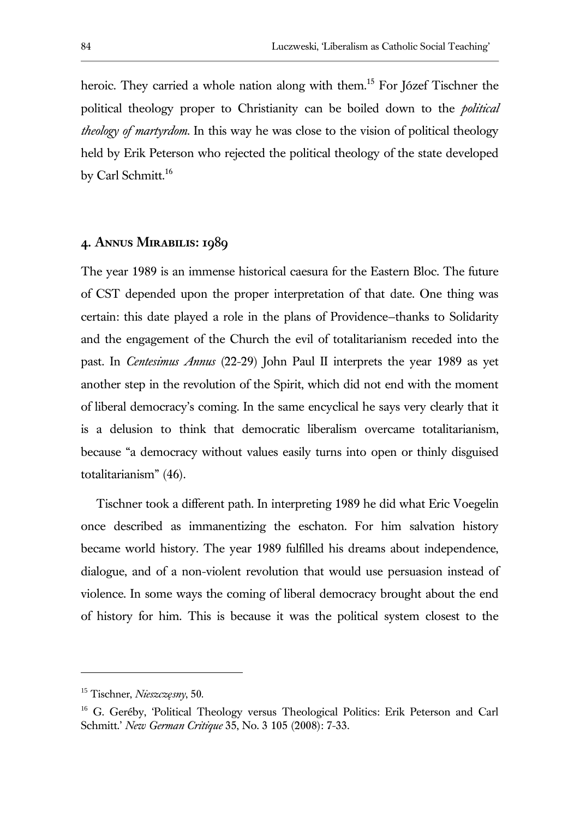heroic. They carried a whole nation along with them.<sup>15</sup> For Józef Tischner the political theology proper to Christianity can be boiled down to the *political theology of martyrdom*. In this way he was close to the vision of political theology held by Erik Peterson who rejected the political theology of the state developed by Carl Schmitt.<sup>16</sup>

## **4. Annus Mirabilis: 1989**

The year 1989 is an immense historical caesura for the Eastern Bloc. The future of CST depended upon the proper interpretation of that date. One thing was certain: this date played a role in the plans of Providence—thanks to Solidarity and the engagement of the Church the evil of totalitarianism receded into the past. In *Centesimus Annus* (22-29) John Paul II interprets the year 1989 as yet another step in the revolution of the Spirit, which did not end with the moment of liberal democracy's coming. In the same encyclical he says very clearly that it is a delusion to think that democratic liberalism overcame totalitarianism, because "a democracy without values easily turns into open or thinly disguised totalitarianism" (46).

Tischner took a different path. In interpreting 1989 he did what Eric Voegelin once described as immanentizing the eschaton. For him salvation history became world history. The year 1989 fulfilled his dreams about independence, dialogue, and of a non-violent revolution that would use persuasion instead of violence. In some ways the coming of liberal democracy brought about the end of history for him. This is because it was the political system closest to the

<sup>15</sup> Tischner, *Nieszczęsny*, 50.

<sup>&</sup>lt;sup>16</sup> G. Geréby, 'Political Theology versus Theological Politics: Erik Peterson and Carl Schmitt.' *New German Critique* 35, No. 3 105 (2008): 7-33.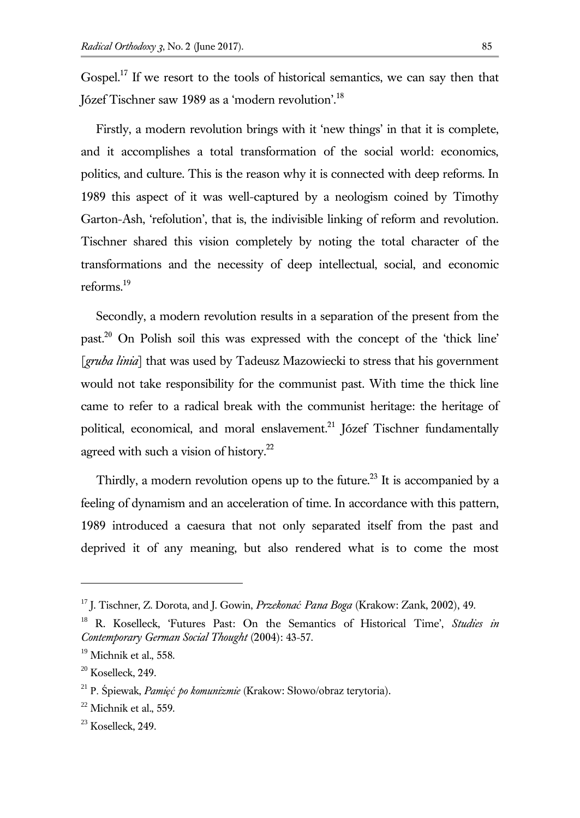Gospel.<sup>17</sup> If we resort to the tools of historical semantics, we can say then that Józef Tischner saw 1989 as a 'modern revolution'.<sup>18</sup>

Firstly, a modern revolution brings with it 'new things' in that it is complete, and it accomplishes a total transformation of the social world: economics, politics, and culture. This is the reason why it is connected with deep reforms. In 1989 this aspect of it was well-captured by a neologism coined by Timothy Garton-Ash, 'refolution', that is, the indivisible linking of reform and revolution. Tischner shared this vision completely by noting the total character of the transformations and the necessity of deep intellectual, social, and economic reforms.<sup>19</sup>

Secondly, a modern revolution results in a separation of the present from the past.<sup>20</sup> On Polish soil this was expressed with the concept of the 'thick line' [*gruba linia*] that was used by Tadeusz Mazowiecki to stress that his government would not take responsibility for the communist past. With time the thick line came to refer to a radical break with the communist heritage: the heritage of political, economical, and moral enslavement.<sup>21</sup> Józef Tischner fundamentally agreed with such a vision of history.<sup>22</sup>

Thirdly, a modern revolution opens up to the future.<sup>23</sup> It is accompanied by a feeling of dynamism and an acceleration of time. In accordance with this pattern, 1989 introduced a caesura that not only separated itself from the past and deprived it of any meaning, but also rendered what is to come the most

<sup>17</sup> J. Tischner, Z. Dorota, and J. Gowin, *Przekonać Pana Boga* (Krakow: Zank, 2002), 49.

<sup>18</sup> R. Koselleck, 'Futures Past: On the Semantics of Historical Time', *Studies in Contemporary German Social Thought* (2004): 43-57.

<sup>&</sup>lt;sup>19</sup> Michnik et al., 558.

 $20$  Koselleck, 249.

<sup>21</sup> P. Śpiewak, *Pamięć po komunizmie* (Krakow: Słowo/obraz terytoria)*.*

 $22$  Michnik et al., 559.

 $23$  Koselleck, 249.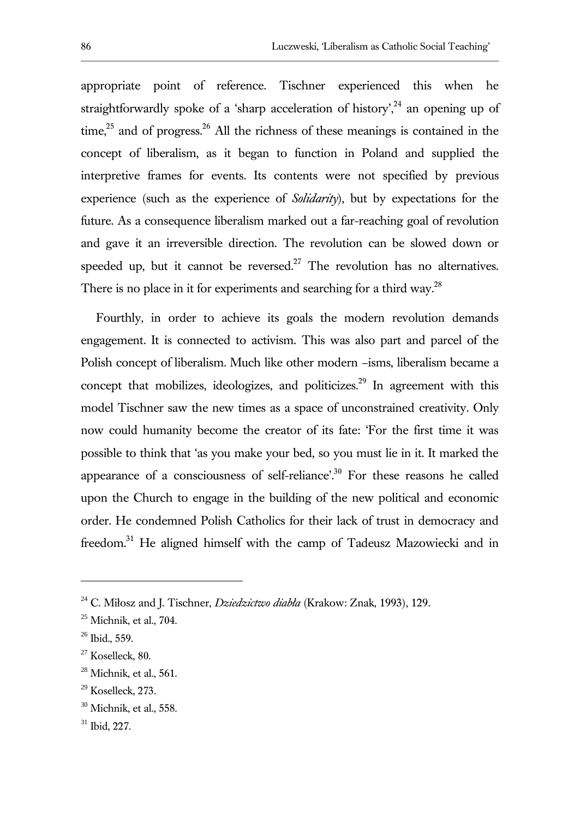appropriate point of reference. Tischner experienced this when he straightforwardly spoke of a 'sharp acceleration of history',  $24$  an opening up of time, $2<sup>5</sup>$  and of progress. $2<sup>6</sup>$  All the richness of these meanings is contained in the concept of liberalism, as it began to function in Poland and supplied the interpretive frames for events. Its contents were not specified by previous experience (such as the experience of *Solidarity*), but by expectations for the future. As a consequence liberalism marked out a far-reaching goal of revolution and gave it an irreversible direction. The revolution can be slowed down or speeded up, but it cannot be reversed.<sup>27</sup> The revolution has no alternatives. There is no place in it for experiments and searching for a third way.<sup>28</sup>

Fourthly, in order to achieve its goals the modern revolution demands engagement. It is connected to activism. This was also part and parcel of the Polish concept of liberalism. Much like other modern –isms, liberalism became a concept that mobilizes, ideologizes, and politicizes.<sup>29</sup> In agreement with this model Tischner saw the new times as a space of unconstrained creativity. Only now could humanity become the creator of its fate: 'For the first time it was possible to think that 'as you make your bed, so you must lie in it. It marked the appearance of a consciousness of self-reliance'.<sup>30</sup> For these reasons he called upon the Church to engage in the building of the new political and economic order. He condemned Polish Catholics for their lack of trust in democracy and freedom.<sup>31</sup> He aligned himself with the camp of Tadeusz Mazowiecki and in

<sup>24</sup> C. Miłosz and J. Tischner, *Dziedzictwo diabła* (Krakow: Znak, 1993), 129.

 $25$  Michnik, et al., 704.

 $26$  Ibid., 559.

 $27$  Koselleck, 80.

 $28$  Michnik, et al., 561.

<sup>29</sup> Koselleck, 273.

 $30$  Michnik, et al., 558.

<sup>31</sup> Ibid, 227.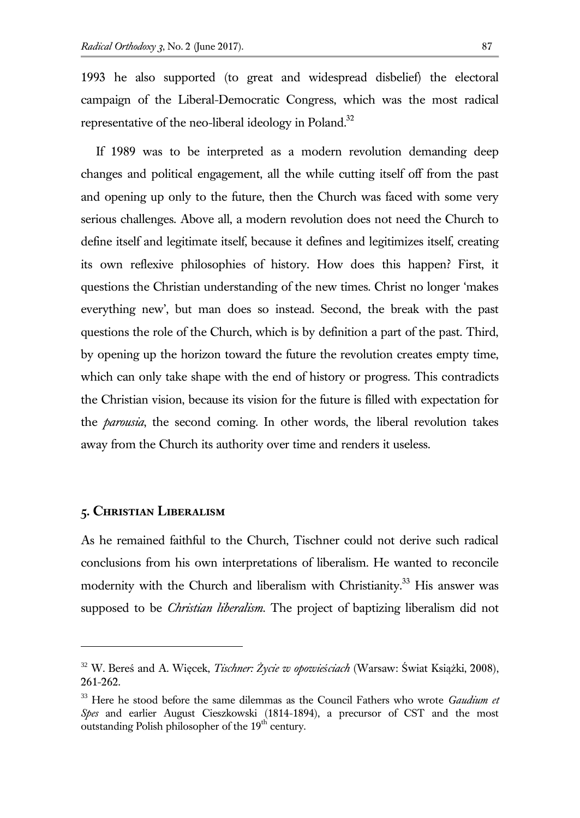1993 he also supported (to great and widespread disbelief) the electoral campaign of the Liberal-Democratic Congress, which was the most radical representative of the neo-liberal ideology in Poland. $32$ 

If 1989 was to be interpreted as a modern revolution demanding deep changes and political engagement, all the while cutting itself off from the past and opening up only to the future, then the Church was faced with some very serious challenges. Above all, a modern revolution does not need the Church to define itself and legitimate itself, because it defines and legitimizes itself, creating its own reflexive philosophies of history. How does this happen? First, it questions the Christian understanding of the new times. Christ no longer 'makes everything new', but man does so instead. Second, the break with the past questions the role of the Church, which is by definition a part of the past. Third, by opening up the horizon toward the future the revolution creates empty time, which can only take shape with the end of history or progress. This contradicts the Christian vision, because its vision for the future is filled with expectation for the *parousia*, the second coming. In other words, the liberal revolution takes away from the Church its authority over time and renders it useless.

#### **5. Christian Liberalism**

l

As he remained faithful to the Church, Tischner could not derive such radical conclusions from his own interpretations of liberalism. He wanted to reconcile modernity with the Church and liberalism with Christianity.<sup>33</sup> His answer was supposed to be *Christian liberalism*. The project of baptizing liberalism did not

<sup>32</sup> W. Bereś and A. Więcek, *Tischner: Życie w opowieściach* (Warsaw: Świat Książki, 2008), 261-262.

<sup>33</sup> Here he stood before the same dilemmas as the Council Fathers who wrote *Gaudium et Spes* and earlier August Cieszkowski (1814-1894), a precursor of CST and the most outstanding Polish philosopher of the  $19<sup>th</sup>$  century.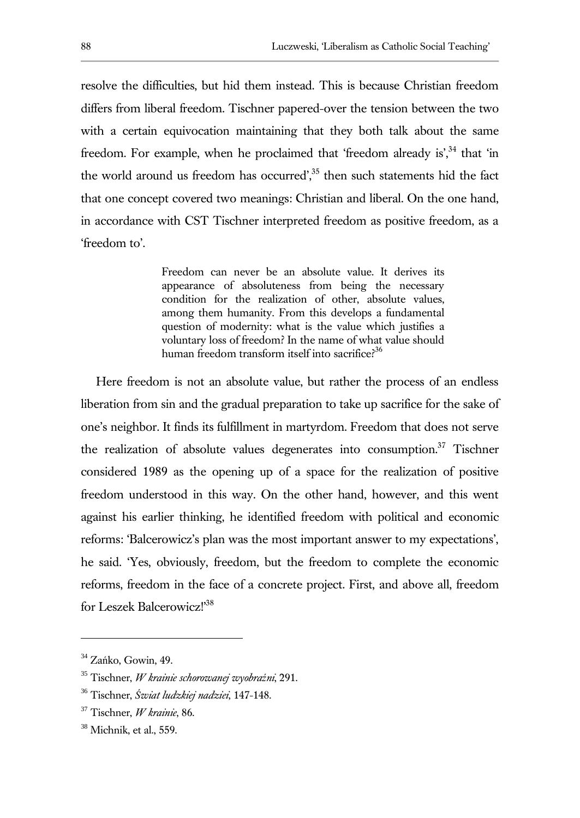resolve the difficulties, but hid them instead. This is because Christian freedom differs from liberal freedom. Tischner papered-over the tension between the two with a certain equivocation maintaining that they both talk about the same freedom. For example, when he proclaimed that 'freedom already is',<sup>34</sup> that 'in the world around us freedom has occurred', $35$  then such statements hid the fact that one concept covered two meanings: Christian and liberal. On the one hand, in accordance with CST Tischner interpreted freedom as positive freedom, as a 'freedom to'.

> Freedom can never be an absolute value. It derives its appearance of absoluteness from being the necessary condition for the realization of other, absolute values, among them humanity. From this develops a fundamental question of modernity: what is the value which justifies a voluntary loss of freedom? In the name of what value should human freedom transform itself into sacrifice?<sup>36</sup>

Here freedom is not an absolute value, but rather the process of an endless liberation from sin and the gradual preparation to take up sacrifice for the sake of one's neighbor. It finds its fulfillment in martyrdom. Freedom that does not serve the realization of absolute values degenerates into consumption.<sup>37</sup> Tischner considered 1989 as the opening up of a space for the realization of positive freedom understood in this way. On the other hand, however, and this went against his earlier thinking, he identified freedom with political and economic reforms: 'Balcerowicz's plan was the most important answer to my expectations', he said. 'Yes, obviously, freedom, but the freedom to complete the economic reforms, freedom in the face of a concrete project. First, and above all, freedom for Leszek Balcerowicz!'<sup>38</sup>

<sup>&</sup>lt;sup>34</sup> Zańko, Gowin, 49.

<sup>35</sup> Tischner, *W krainie schorowanej wyobraźni*, 291.

<sup>36</sup> Tischner, *Świat ludzkiej nadziei*, 147-148.

<sup>37</sup> Tischner, *W krainie*, 86.

 $38$  Michnik, et al., 559.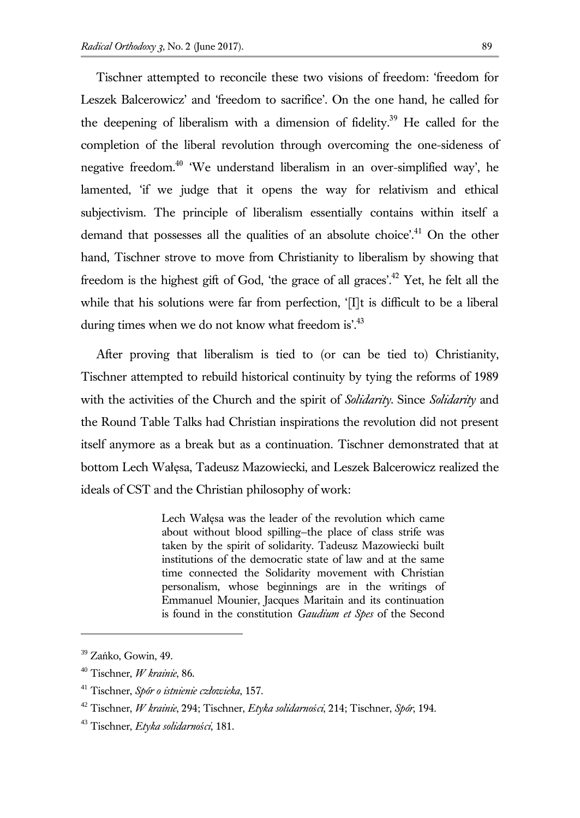Tischner attempted to reconcile these two visions of freedom: 'freedom for Leszek Balcerowicz' and 'freedom to sacrifice'. On the one hand, he called for the deepening of liberalism with a dimension of fidelity.<sup>39</sup> He called for the completion of the liberal revolution through overcoming the one-sideness of negative freedom.<sup>40</sup> 'We understand liberalism in an over-simplified way', he lamented, 'if we judge that it opens the way for relativism and ethical subjectivism. The principle of liberalism essentially contains within itself a demand that possesses all the qualities of an absolute choice'.<sup>41</sup> On the other hand, Tischner strove to move from Christianity to liberalism by showing that freedom is the highest gift of God, 'the grace of all graces'.<sup>42</sup> Yet, he felt all the while that his solutions were far from perfection, '[I]t is difficult to be a liberal during times when we do not know what freedom is'.<sup>43</sup>

After proving that liberalism is tied to (or can be tied to) Christianity, Tischner attempted to rebuild historical continuity by tying the reforms of 1989 with the activities of the Church and the spirit of *Solidarity*. Since *Solidarity* and the Round Table Talks had Christian inspirations the revolution did not present itself anymore as a break but as a continuation. Tischner demonstrated that at bottom Lech Wałęsa, Tadeusz Mazowiecki, and Leszek Balcerowicz realized the ideals of CST and the Christian philosophy of work:

> Lech Wałęsa was the leader of the revolution which came about without blood spilling—the place of class strife was taken by the spirit of solidarity. Tadeusz Mazowiecki built institutions of the democratic state of law and at the same time connected the Solidarity movement with Christian personalism, whose beginnings are in the writings of Emmanuel Mounier, Jacques Maritain and its continuation is found in the constitution *Gaudium et Spes* of the Second

<sup>&</sup>lt;sup>39</sup> Zańko, Gowin, 49.

<sup>40</sup> Tischner, *W krainie*, 86.

<sup>41</sup> Tischner, *Spór o istnienie człowieka*, 157.

<sup>42</sup> Tischner, *W krainie*, 294; Tischner, *Etyka solidarności*, 214; Tischner, *Spór*, 194.

<sup>43</sup> Tischner, *Etyka solidarności*, 181.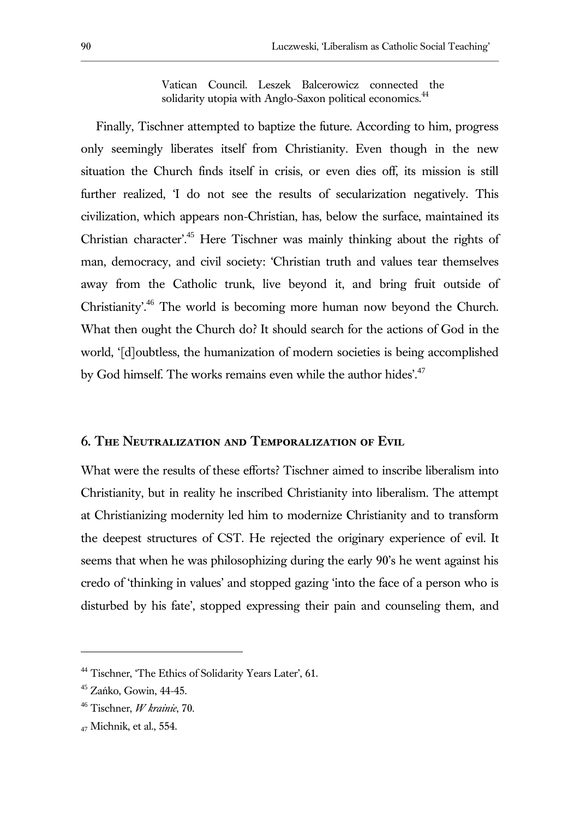Vatican Council. Leszek Balcerowicz connected the solidarity utopia with Anglo-Saxon political economics.<sup>44</sup>

Finally, Tischner attempted to baptize the future. According to him, progress only seemingly liberates itself from Christianity. Even though in the new situation the Church finds itself in crisis, or even dies off, its mission is still further realized, 'I do not see the results of secularization negatively. This civilization, which appears non-Christian, has, below the surface, maintained its Christian character'.<sup>45</sup> Here Tischner was mainly thinking about the rights of man, democracy, and civil society: 'Christian truth and values tear themselves away from the Catholic trunk, live beyond it, and bring fruit outside of Christianity'.<sup>46</sup> The world is becoming more human now beyond the Church. What then ought the Church do? It should search for the actions of God in the world, '[d]oubtless, the humanization of modern societies is being accomplished by God himself. The works remains even while the author hides'.<sup>47</sup>

# **6. The Neutralization and Temporalization of Evil**

What were the results of these efforts? Tischner aimed to inscribe liberalism into Christianity, but in reality he inscribed Christianity into liberalism. The attempt at Christianizing modernity led him to modernize Christianity and to transform the deepest structures of CST. He rejected the originary experience of evil. It seems that when he was philosophizing during the early 90's he went against his credo of 'thinking in values' and stopped gazing 'into the face of a person who is disturbed by his fate', stopped expressing their pain and counseling them, and

<sup>&</sup>lt;sup>44</sup> Tischner, 'The Ethics of Solidarity Years Later', 61.

<sup>45</sup> Zańko, Gowin, 44-45.

<sup>46</sup> Tischner, *W krainie*, 70.

<sup>47</sup> Michnik, et al., 554.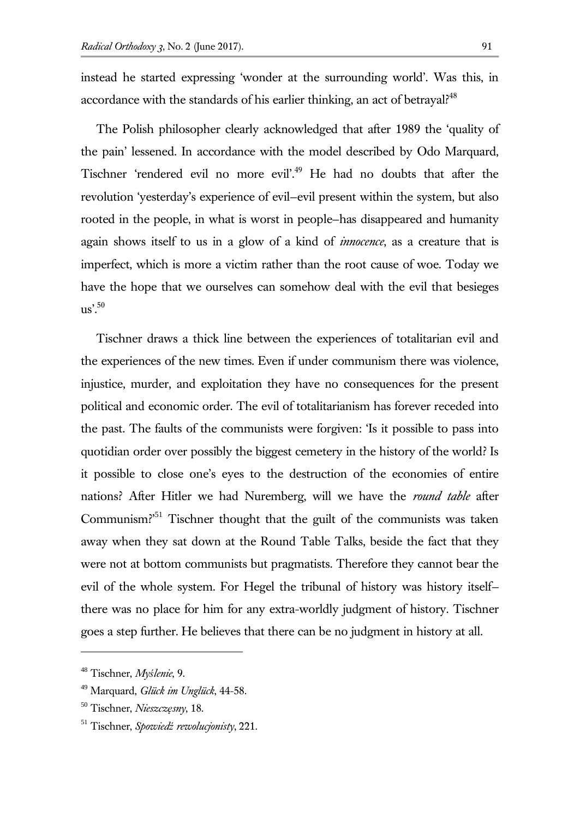instead he started expressing 'wonder at the surrounding world'. Was this, in accordance with the standards of his earlier thinking, an act of betrayal?<sup>48</sup>

The Polish philosopher clearly acknowledged that after 1989 the 'quality of the pain' lessened. In accordance with the model described by Odo Marquard, Tischner 'rendered evil no more evil'.<sup>49</sup> He had no doubts that after the revolution 'yesterday's experience of evil—evil present within the system, but also rooted in the people, in what is worst in people—has disappeared and humanity again shows itself to us in a glow of a kind of *innocence*, as a creature that is imperfect, which is more a victim rather than the root cause of woe. Today we have the hope that we ourselves can somehow deal with the evil that besieges  $\overline{118}$ .<sup>50</sup>

Tischner draws a thick line between the experiences of totalitarian evil and the experiences of the new times. Even if under communism there was violence, injustice, murder, and exploitation they have no consequences for the present political and economic order. The evil of totalitarianism has forever receded into the past. The faults of the communists were forgiven: 'Is it possible to pass into quotidian order over possibly the biggest cemetery in the history of the world? Is it possible to close one's eyes to the destruction of the economies of entire nations? After Hitler we had Nuremberg, will we have the *round table* after Communism?'<sup>51</sup> Tischner thought that the guilt of the communists was taken away when they sat down at the Round Table Talks, beside the fact that they were not at bottom communists but pragmatists. Therefore they cannot bear the evil of the whole system. For Hegel the tribunal of history was history itself there was no place for him for any extra-worldly judgment of history. Tischner goes a step further. He believes that there can be no judgment in history at all.

<sup>48</sup> Tischner, *Myślenie*, 9.

<sup>49</sup> Marquard, *Glück im Unglück*, 44-58*.*

<sup>50</sup> Tischner, *Nieszczęsny*, 18.

<sup>51</sup> Tischner, *Spowiedź rewolucjonisty*, 221.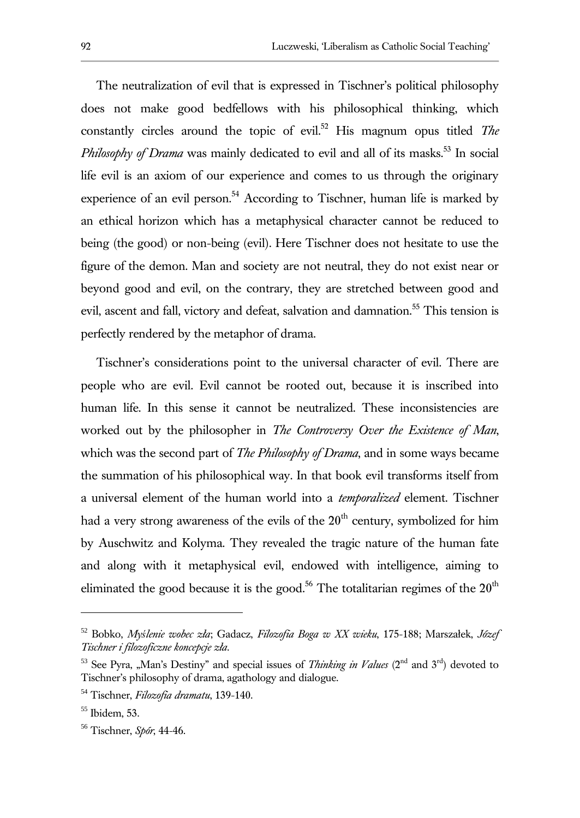The neutralization of evil that is expressed in Tischner's political philosophy does not make good bedfellows with his philosophical thinking, which constantly circles around the topic of evil.<sup>52</sup> His magnum opus titled *The Philosophy of Drama* was mainly dedicated to evil and all of its masks.<sup>53</sup> In social life evil is an axiom of our experience and comes to us through the originary experience of an evil person.<sup>54</sup> According to Tischner, human life is marked by an ethical horizon which has a metaphysical character cannot be reduced to being (the good) or non-being (evil). Here Tischner does not hesitate to use the figure of the demon. Man and society are not neutral, they do not exist near or beyond good and evil, on the contrary, they are stretched between good and evil, ascent and fall, victory and defeat, salvation and damnation.<sup>55</sup> This tension is perfectly rendered by the metaphor of drama.

Tischner's considerations point to the universal character of evil. There are people who are evil. Evil cannot be rooted out, because it is inscribed into human life. In this sense it cannot be neutralized. These inconsistencies are worked out by the philosopher in *The Controversy Over the Existence of Man*, which was the second part of *The Philosophy of Drama*, and in some ways became the summation of his philosophical way. In that book evil transforms itself from a universal element of the human world into a *temporalized* element. Tischner had a very strong awareness of the evils of the  $20<sup>th</sup>$  century, symbolized for him by Auschwitz and Kolyma. They revealed the tragic nature of the human fate and along with it metaphysical evil, endowed with intelligence, aiming to eliminated the good because it is the good.<sup>56</sup> The totalitarian regimes of the  $20<sup>th</sup>$ 

<sup>52</sup> Bobko, *Myślenie wobec zła*; Gadacz, *Filozofia Boga w XX wieku*, 175-188; Marszałek, *Józef Tischner i filozoficzne koncepcje zła*.

<sup>&</sup>lt;sup>53</sup> See Pyra, "Man's Destiny" and special issues of *Thinking in Values* ( $2<sup>nd</sup>$  and  $3<sup>rd</sup>$ ) devoted to Tischner's philosophy of drama, agathology and dialogue.

<sup>54</sup> Tischner, *Filozofia dramatu*, 139-140.

<sup>55</sup> Ibidem, 53.

<sup>56</sup> Tischner, *Spór*, 44-46.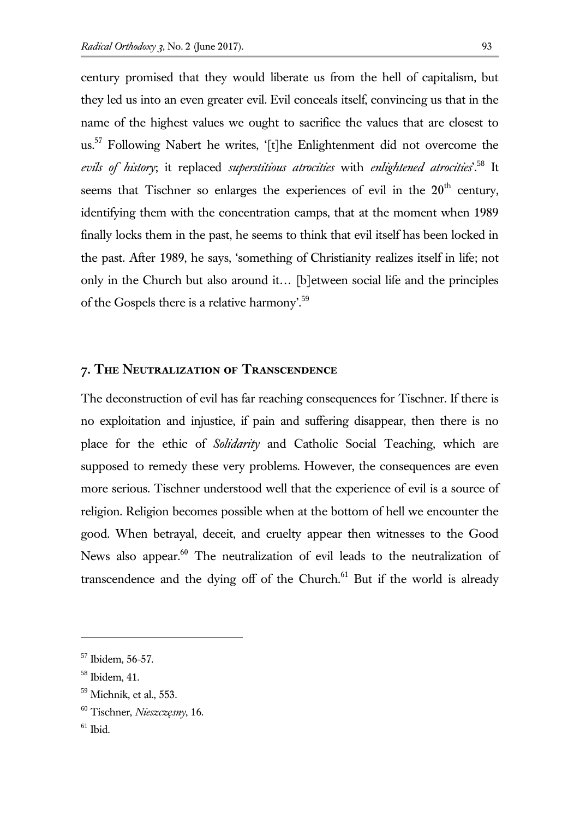century promised that they would liberate us from the hell of capitalism, but they led us into an even greater evil. Evil conceals itself, convincing us that in the name of the highest values we ought to sacrifice the values that are closest to us.<sup>57</sup> Following Nabert he writes, '[t]he Enlightenment did not overcome the *evils of history*; it replaced *superstitious atrocities* with *enlightened atrocities*'.<sup>58</sup> It seems that Tischner so enlarges the experiences of evil in the  $20<sup>th</sup>$  century, identifying them with the concentration camps, that at the moment when 1989 finally locks them in the past, he seems to think that evil itself has been locked in the past. After 1989, he says, 'something of Christianity realizes itself in life; not only in the Church but also around it… [b]etween social life and the principles of the Gospels there is a relative harmony.<sup>59</sup>

# **7. The Neutralization of Transcendence**

The deconstruction of evil has far reaching consequences for Tischner. If there is no exploitation and injustice, if pain and suffering disappear, then there is no place for the ethic of *Solidarity* and Catholic Social Teaching, which are supposed to remedy these very problems. However, the consequences are even more serious. Tischner understood well that the experience of evil is a source of religion. Religion becomes possible when at the bottom of hell we encounter the good. When betrayal, deceit, and cruelty appear then witnesses to the Good News also appear.<sup>60</sup> The neutralization of evil leads to the neutralization of transcendence and the dying off of the Church. $61$  But if the world is already

<sup>57</sup> Ibidem, 56-57.

<sup>58</sup> Ibidem, 41.

 $59$  Michnik, et al., 553.

<sup>60</sup> Tischner, *Nieszczęsny*, 16.

 $61$  Ibid.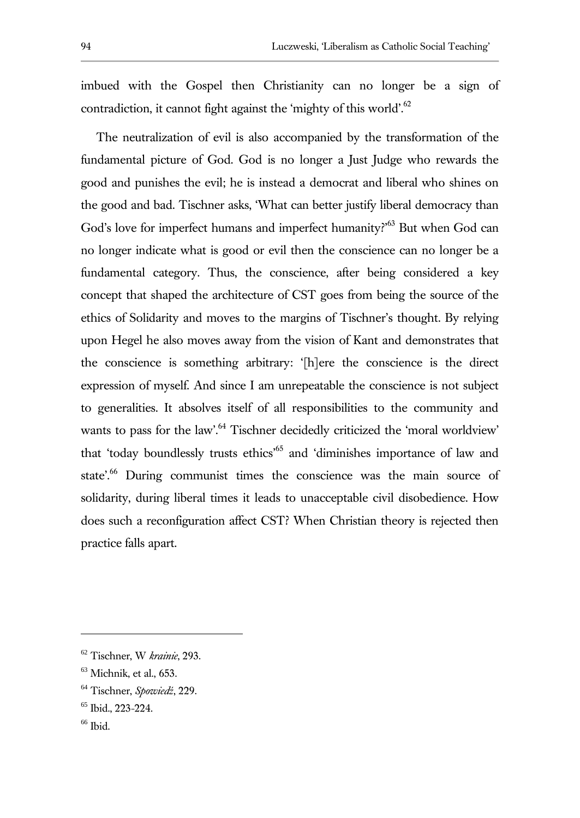imbued with the Gospel then Christianity can no longer be a sign of contradiction, it cannot fight against the 'mighty of this world'.<sup>62</sup>

The neutralization of evil is also accompanied by the transformation of the fundamental picture of God. God is no longer a Just Judge who rewards the good and punishes the evil; he is instead a democrat and liberal who shines on the good and bad. Tischner asks, 'What can better justify liberal democracy than God's love for imperfect humans and imperfect humanity?<sup>63</sup> But when God can no longer indicate what is good or evil then the conscience can no longer be a fundamental category. Thus, the conscience, after being considered a key concept that shaped the architecture of CST goes from being the source of the ethics of Solidarity and moves to the margins of Tischner's thought. By relying upon Hegel he also moves away from the vision of Kant and demonstrates that the conscience is something arbitrary: '[h]ere the conscience is the direct expression of myself. And since I am unrepeatable the conscience is not subject to generalities. It absolves itself of all responsibilities to the community and wants to pass for the law'.<sup>64</sup> Tischner decidedly criticized the 'moral worldview' that 'today boundlessly trusts ethics'<sup>65</sup> and 'diminishes importance of law and state'.<sup>66</sup> During communist times the conscience was the main source of solidarity, during liberal times it leads to unacceptable civil disobedience. How does such a reconfiguration affect CST? When Christian theory is rejected then practice falls apart.

<sup>62</sup> Tischner, W *krainie*, 293.

 $63$  Michnik, et al., 653.

<sup>64</sup> Tischner, *Spowiedź*, 229.

<sup>65</sup> Ibid., 223-224.

 $66$  Ibid.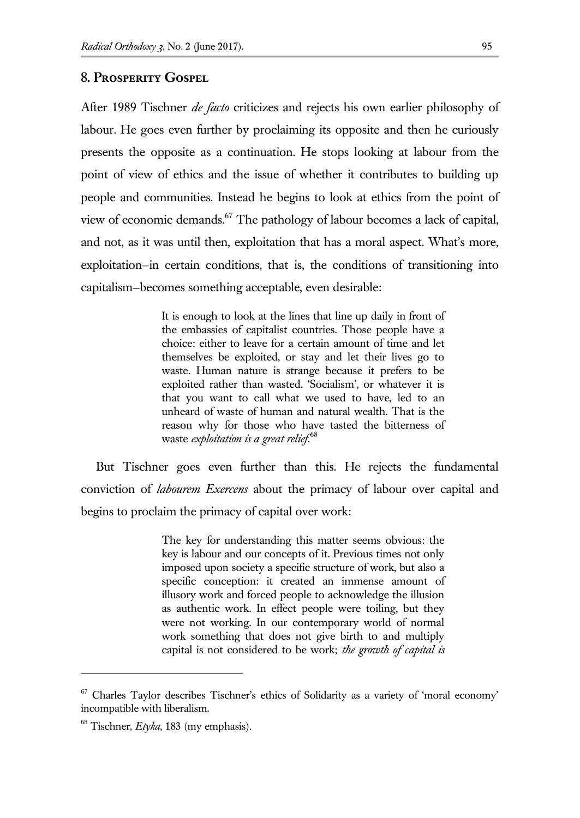#### **8. Prosperity Gospel**

After 1989 Tischner *de facto* criticizes and rejects his own earlier philosophy of labour. He goes even further by proclaiming its opposite and then he curiously presents the opposite as a continuation. He stops looking at labour from the point of view of ethics and the issue of whether it contributes to building up people and communities. Instead he begins to look at ethics from the point of view of economic demands.<sup>67</sup> The pathology of labour becomes a lack of capital, and not, as it was until then, exploitation that has a moral aspect. What's more, exploitation—in certain conditions, that is, the conditions of transitioning into capitalism—becomes something acceptable, even desirable:

> It is enough to look at the lines that line up daily in front of the embassies of capitalist countries. Those people have a choice: either to leave for a certain amount of time and let themselves be exploited, or stay and let their lives go to waste. Human nature is strange because it prefers to be exploited rather than wasted. 'Socialism', or whatever it is that you want to call what we used to have, led to an unheard of waste of human and natural wealth. That is the reason why for those who have tasted the bitterness of waste *exploitation is a great relief*. 68

But Tischner goes even further than this. He rejects the fundamental conviction of *labourem Exercens* about the primacy of labour over capital and begins to proclaim the primacy of capital over work:

> The key for understanding this matter seems obvious: the key is labour and our concepts of it. Previous times not only imposed upon society a specific structure of work, but also a specific conception: it created an immense amount of illusory work and forced people to acknowledge the illusion as authentic work. In effect people were toiling, but they were not working. In our contemporary world of normal work something that does not give birth to and multiply capital is not considered to be work; *the growth of capital is*

 $67$  Charles Taylor describes Tischner's ethics of Solidarity as a variety of 'moral economy' incompatible with liberalism.

<sup>68</sup> Tischner, *Etyka*, 183 (my emphasis).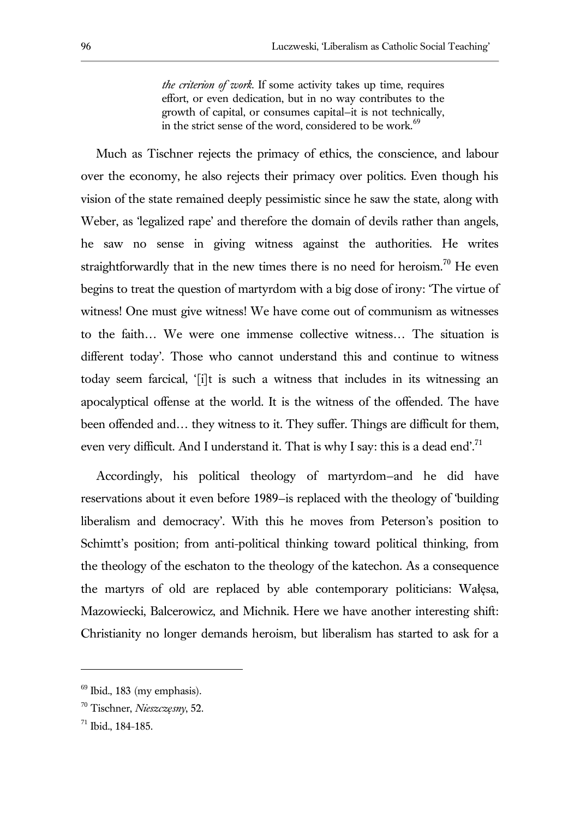*the criterion of work*. If some activity takes up time, requires effort, or even dedication, but in no way contributes to the growth of capital, or consumes capital—it is not technically, in the strict sense of the word, considered to be work. $69$ 

Much as Tischner rejects the primacy of ethics, the conscience, and labour over the economy, he also rejects their primacy over politics. Even though his vision of the state remained deeply pessimistic since he saw the state, along with Weber, as 'legalized rape' and therefore the domain of devils rather than angels, he saw no sense in giving witness against the authorities. He writes straightforwardly that in the new times there is no need for heroism.<sup>70</sup> He even begins to treat the question of martyrdom with a big dose of irony: 'The virtue of witness! One must give witness! We have come out of communism as witnesses to the faith… We were one immense collective witness… The situation is different today'. Those who cannot understand this and continue to witness today seem farcical, '[i]t is such a witness that includes in its witnessing an apocalyptical offense at the world. It is the witness of the offended. The have been offended and… they witness to it. They suffer. Things are difficult for them, even very difficult. And I understand it. That is why I say: this is a dead end'.<sup>71</sup>

Accordingly, his political theology of martyrdom—and he did have reservations about it even before 1989—is replaced with the theology of 'building liberalism and democracy'. With this he moves from Peterson's position to Schimtt's position; from anti-political thinking toward political thinking, from the theology of the eschaton to the theology of the katechon. As a consequence the martyrs of old are replaced by able contemporary politicians: Wałęsa, Mazowiecki, Balcerowicz, and Michnik. Here we have another interesting shift: Christianity no longer demands heroism, but liberalism has started to ask for a

 $69$  Ibid., 183 (my emphasis).

<sup>70</sup> Tischner, *Nieszczęsny*, 52.

<sup>71</sup> Ibid., 184-185.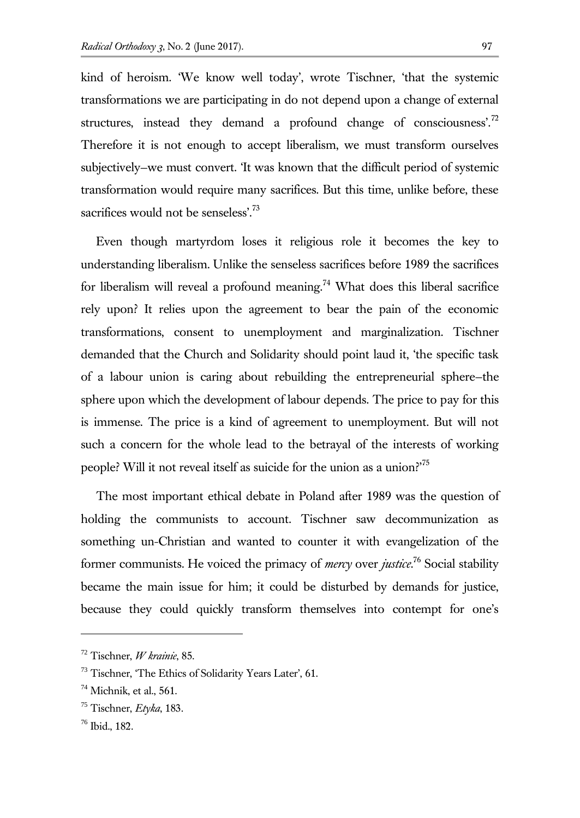kind of heroism. 'We know well today', wrote Tischner, 'that the systemic transformations we are participating in do not depend upon a change of external structures, instead they demand a profound change of consciousness'. $^{72}$ Therefore it is not enough to accept liberalism, we must transform ourselves subjectively—we must convert. 'It was known that the difficult period of systemic transformation would require many sacrifices. But this time, unlike before, these sacrifices would not be senseless'.<sup>73</sup>

Even though martyrdom loses it religious role it becomes the key to understanding liberalism. Unlike the senseless sacrifices before 1989 the sacrifices for liberalism will reveal a profound meaning.<sup>74</sup> What does this liberal sacrifice rely upon? It relies upon the agreement to bear the pain of the economic transformations, consent to unemployment and marginalization. Tischner demanded that the Church and Solidarity should point laud it, 'the specific task of a labour union is caring about rebuilding the entrepreneurial sphere—the sphere upon which the development of labour depends. The price to pay for this is immense. The price is a kind of agreement to unemployment. But will not such a concern for the whole lead to the betrayal of the interests of working people? Will it not reveal itself as suicide for the union as a union?'<sup>75</sup>

The most important ethical debate in Poland after 1989 was the question of holding the communists to account. Tischner saw decommunization as something un-Christian and wanted to counter it with evangelization of the former communists. He voiced the primacy of *mercy* over *justice*. <sup>76</sup> Social stability became the main issue for him; it could be disturbed by demands for justice, because they could quickly transform themselves into contempt for one's

<sup>72</sup> Tischner, *W krainie*, 85.

<sup>&</sup>lt;sup>73</sup> Tischner, 'The Ethics of Solidarity Years Later', 61.

 $74$  Michnik, et al., 561.

<sup>75</sup> Tischner, *Etyka*, 183.

<sup>76</sup> Ibid., 182.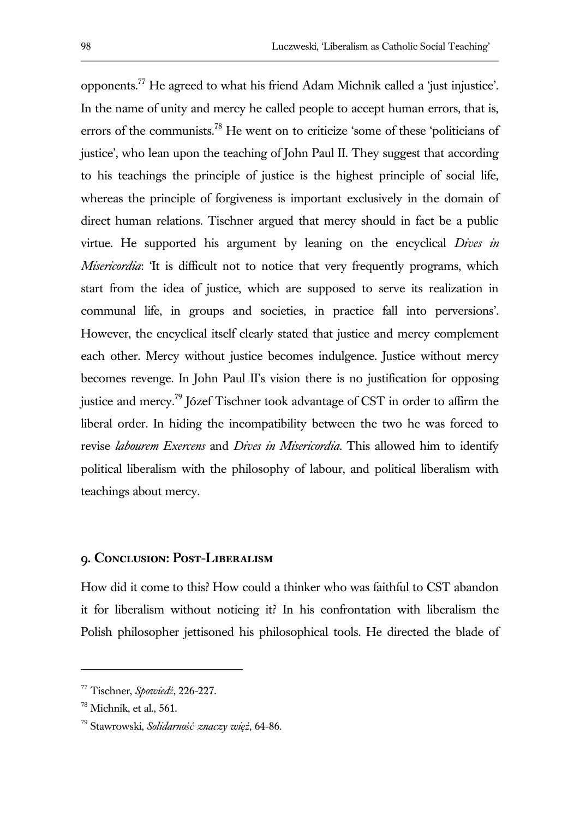opponents.<sup>77</sup> He agreed to what his friend Adam Michnik called a 'just injustice'. In the name of unity and mercy he called people to accept human errors, that is, errors of the communists.<sup>78</sup> He went on to criticize 'some of these 'politicians of justice', who lean upon the teaching of John Paul II. They suggest that according to his teachings the principle of justice is the highest principle of social life, whereas the principle of forgiveness is important exclusively in the domain of direct human relations. Tischner argued that mercy should in fact be a public virtue. He supported his argument by leaning on the encyclical *Dives in Misericordia*: 'It is difficult not to notice that very frequently programs, which start from the idea of justice, which are supposed to serve its realization in communal life, in groups and societies, in practice fall into perversions'. However, the encyclical itself clearly stated that justice and mercy complement each other. Mercy without justice becomes indulgence. Justice without mercy becomes revenge. In John Paul II's vision there is no justification for opposing justice and mercy.<sup>79</sup> Józef Tischner took advantage of CST in order to affirm the liberal order. In hiding the incompatibility between the two he was forced to revise *labourem Exercens* and *Dives in Misericordia*. This allowed him to identify political liberalism with the philosophy of labour, and political liberalism with teachings about mercy.

# **9. Conclusion: Post-Liberalism**

How did it come to this? How could a thinker who was faithful to CST abandon it for liberalism without noticing it? In his confrontation with liberalism the Polish philosopher jettisoned his philosophical tools. He directed the blade of

<sup>77</sup> Tischner, *Spowiedź*, 226-227.

 $78$  Michnik, et al., 561.

<sup>79</sup> Stawrowski, *Solidarność znaczy więź*, 64-86.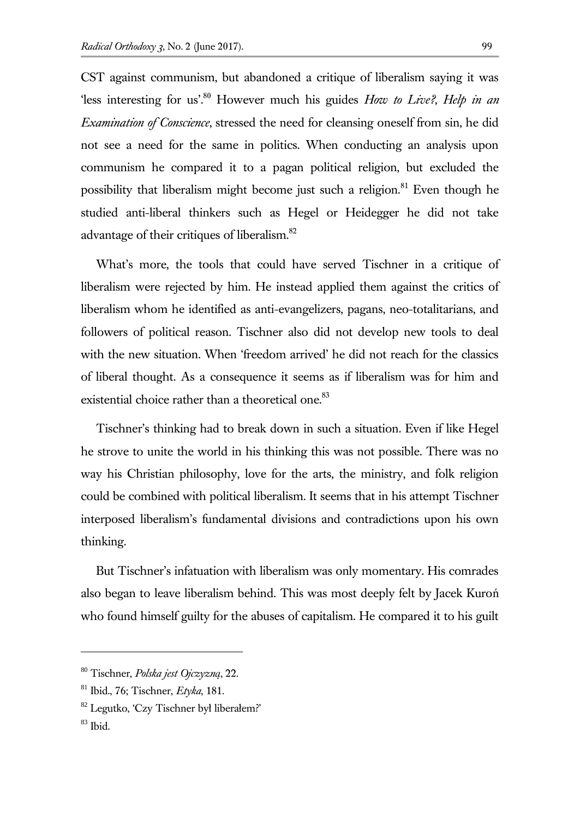CST against communism, but abandoned a critique of liberalism saying it was 'less interesting for us'.<sup>80</sup> However much his guides *How to Live?*, *Help in an Examination of Conscience*, stressed the need for cleansing oneself from sin, he did not see a need for the same in politics. When conducting an analysis upon communism he compared it to a pagan political religion, but excluded the possibility that liberalism might become just such a religion.<sup>81</sup> Even though he studied anti-liberal thinkers such as Hegel or Heidegger he did not take advantage of their critiques of liberalism.<sup>82</sup>

What's more, the tools that could have served Tischner in a critique of liberalism were rejected by him. He instead applied them against the critics of liberalism whom he identified as anti-evangelizers, pagans, neo-totalitarians, and followers of political reason. Tischner also did not develop new tools to deal with the new situation. When 'freedom arrived' he did not reach for the classics of liberal thought. As a consequence it seems as if liberalism was for him and existential choice rather than a theoretical one.<sup>83</sup>

Tischner's thinking had to break down in such a situation. Even if like Hegel he strove to unite the world in his thinking this was not possible. There was no way his Christian philosophy, love for the arts, the ministry, and folk religion could be combined with political liberalism. It seems that in his attempt Tischner interposed liberalism's fundamental divisions and contradictions upon his own thinking.

But Tischner's infatuation with liberalism was only momentary. His comrades also began to leave liberalism behind. This was most deeply felt by Jacek Kuroń who found himself guilty for the abuses of capitalism. He compared it to his guilt

<sup>80</sup> Tischner, *Polska jest Ojczyzną*, 22.

<sup>81</sup> Ibid., 76; Tischner, *Etyka*, 181.

<sup>82</sup> Legutko, 'Czy Tischner był liberałem?'

<sup>83</sup> Ibid.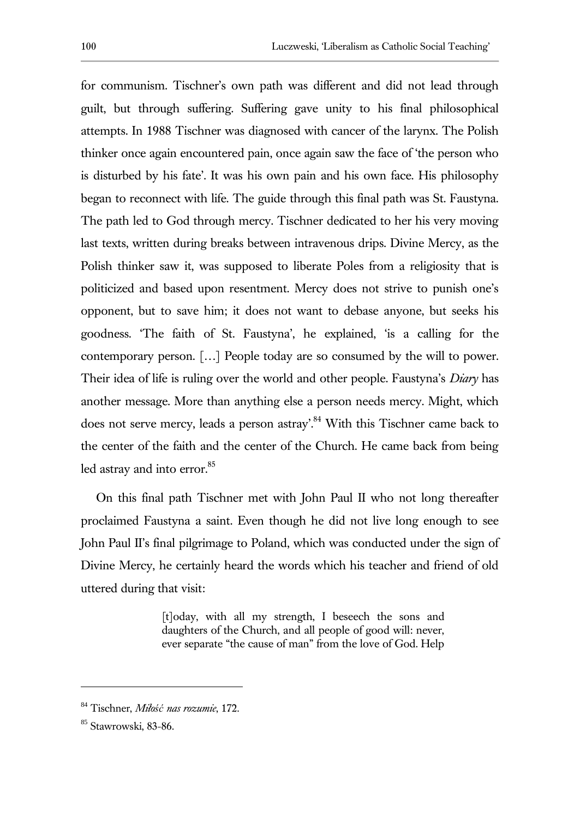for communism. Tischner's own path was different and did not lead through guilt, but through suffering. Suffering gave unity to his final philosophical attempts. In 1988 Tischner was diagnosed with cancer of the larynx. The Polish thinker once again encountered pain, once again saw the face of 'the person who is disturbed by his fate'. It was his own pain and his own face. His philosophy began to reconnect with life. The guide through this final path was St. Faustyna. The path led to God through mercy. Tischner dedicated to her his very moving last texts, written during breaks between intravenous drips. Divine Mercy, as the Polish thinker saw it, was supposed to liberate Poles from a religiosity that is politicized and based upon resentment. Mercy does not strive to punish one's opponent, but to save him; it does not want to debase anyone, but seeks his goodness. 'The faith of St. Faustyna', he explained, 'is a calling for the contemporary person. […] People today are so consumed by the will to power. Their idea of life is ruling over the world and other people. Faustyna's *Diary* has another message. More than anything else a person needs mercy. Might, which does not serve mercy, leads a person astray'.<sup>84</sup> With this Tischner came back to the center of the faith and the center of the Church. He came back from being led astray and into error.<sup>85</sup>

On this final path Tischner met with John Paul II who not long thereafter proclaimed Faustyna a saint. Even though he did not live long enough to see John Paul II's final pilgrimage to Poland, which was conducted under the sign of Divine Mercy, he certainly heard the words which his teacher and friend of old uttered during that visit:

> [t]oday, with all my strength, I beseech the sons and daughters of the Church, and all people of good will: never, ever separate "the cause of man" from the love of God. Help

<sup>84</sup> Tischner, *Miłość nas rozumie*, 172.

<sup>85</sup> Stawrowski, 83-86.